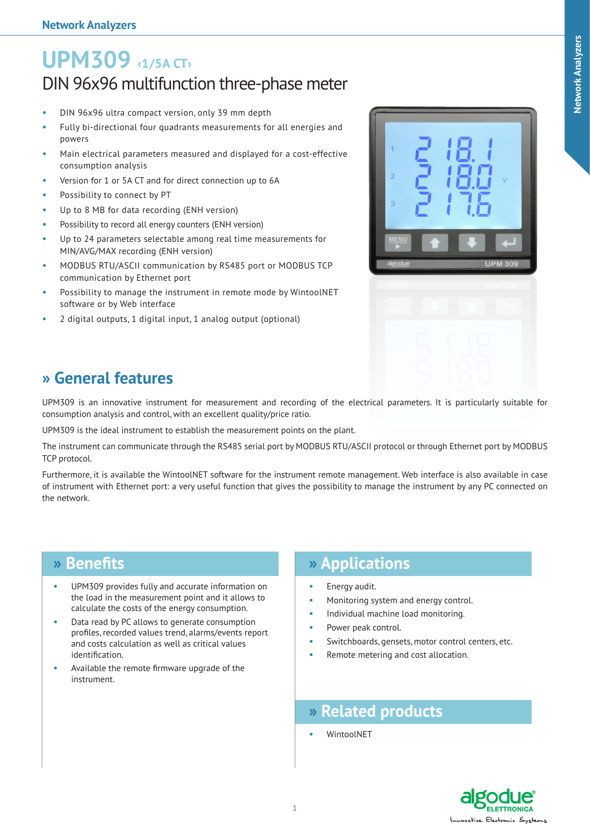# **UPM309 ‹1/5A CT›** DIN 96x96 multifunction three-phase meter

- DIN 96x96 ultra compact version, only 39 mm depth
- Fully bi-directional four quadrants measurements for all energies and powers
- Main electrical parameters measured and displayed for a cost-effective consumption analysis
- Version for 1 or 5A CT and for direct connection up to 6A
- Possibility to connect by PT
- Up to 8 MB for data recording (ENH version)
- Possibility to record all energy counters (ENH version)
- Up to 24 parameters selectable among real time measurements for MIN/AVG/MAX recording (ENH version)
- MODBUS RTU/ASCII communication by RS485 port or MODBUS TCP communication by Ethernet port
- Possibility to manage the instrument in remote mode by WintoolNET software or by Web interface
- 2 digital outputs, 1 digital input, 1 analog output (optional)



## **» General features**

UPM309 is an innovative instrument for measurement and recording of the electrical parameters. It is particularly suitable for consumption analysis and control, with an excellent quality/price ratio.

UPM309 is the ideal instrument to establish the measurement points on the plant.

The instrument can communicate through the RS485 serial port by MODBUS RTU/ASCII protocol or through Ethernet port by MODBUS TCP protocol.

Furthermore, it is available the WintoolNET software for the instrument remote management. Web interface is also available in case of instrument with Ethernet port: a very useful function that gives the possibility to manage the instrument by any PC connected on the network.

### **» Benefits**

- UPM309 provides fully and accurate information on the load in the measurement point and it allows to calculate the costs of the energy consumption.
- Data read by PC allows to generate consumption profiles, recorded values trend, alarms/events report and costs calculation as well as critical values identification.
- Available the remote firmware upgrade of the instrument.

## **» Applications**

- Energy audit.
- Monitoring system and energy control.
- Individual machine load monitoring.
- Power peak control.
- Switchboards, gensets, motor control centers, etc.
- Remote metering and cost allocation.

### **» Related products**

WintoolNFT

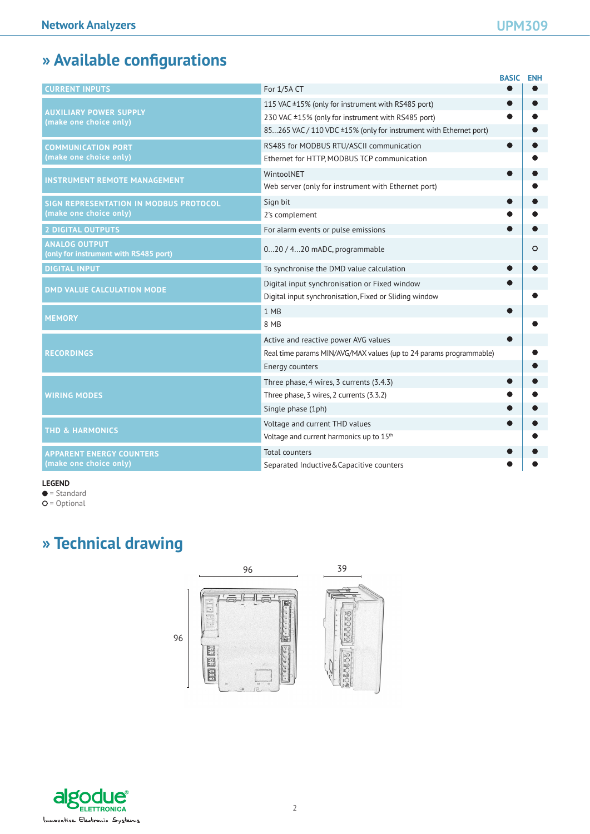# **» Available configurations**

|                                                                  |                                                                    | <b>BASIC</b> | <b>ENH</b> |
|------------------------------------------------------------------|--------------------------------------------------------------------|--------------|------------|
| <b>CURRENT INPUTS</b>                                            | For 1/5A CT                                                        |              |            |
| <b>AUXILIARY POWER SUPPLY</b><br>(make one choice only)          | 115 VAC ±15% (only for instrument with RS485 port)                 |              |            |
|                                                                  | 230 VAC ±15% (only for instrument with RS485 port)                 |              |            |
|                                                                  | 85265 VAC / 110 VDC ±15% (only for instrument with Ethernet port)  |              |            |
| <b>COMMUNICATION PORT</b>                                        | RS485 for MODBUS RTU/ASCII communication                           |              |            |
| (make one choice only)                                           | Ethernet for HTTP, MODBUS TCP communication                        |              |            |
| <b>INSTRUMENT REMOTE MANAGEMENT</b>                              | WintoolNET                                                         |              |            |
|                                                                  | Web server (only for instrument with Ethernet port)                |              |            |
| SIGN REPRESENTATION IN MODBUS PROTOCOL<br>(make one choice only) | Sign bit                                                           |              |            |
|                                                                  | 2's complement                                                     |              |            |
| 2 DIGITAL OUTPUTS                                                | For alarm events or pulse emissions                                |              |            |
| <b>ANALOG OUTPUT</b><br>(only for instrument with RS485 port)    | 020 / 420 mADC, programmable                                       |              | $\circ$    |
| <b>DIGITAL INPUT</b>                                             | To synchronise the DMD value calculation                           |              |            |
| <b>DMD VALUE CALCULATION MODE</b>                                | Digital input synchronisation or Fixed window                      |              |            |
|                                                                  | Digital input synchronisation, Fixed or Sliding window             |              |            |
| <b>MEMORY</b>                                                    | 1 MB                                                               |              |            |
|                                                                  | 8 MB                                                               |              |            |
|                                                                  | Active and reactive power AVG values                               |              |            |
| <b>RECORDINGS</b>                                                | Real time params MIN/AVG/MAX values (up to 24 params programmable) |              |            |
|                                                                  | Energy counters                                                    |              |            |
| <b>WIRING MODES</b>                                              | Three phase, 4 wires, 3 currents (3.4.3)                           |              |            |
|                                                                  | Three phase, 3 wires, 2 currents (3.3.2)                           |              |            |
|                                                                  | Single phase (1ph)                                                 |              |            |
|                                                                  | Voltage and current THD values                                     |              |            |
| <b>THD &amp; HARMONICS</b>                                       | Voltage and current harmonics up to 15th                           |              |            |
| <b>APPARENT ENERGY COUNTERS</b><br>(make one choice only)        | <b>Total counters</b>                                              |              |            |
|                                                                  | Separated Inductive&Capacitive counters                            |              |            |

#### **LEGEND**

 $\bullet$  = Standard

 $O =$  Optional

## **» Technical drawing**



algodu le ELETTRONICA Innovative Electronic Systems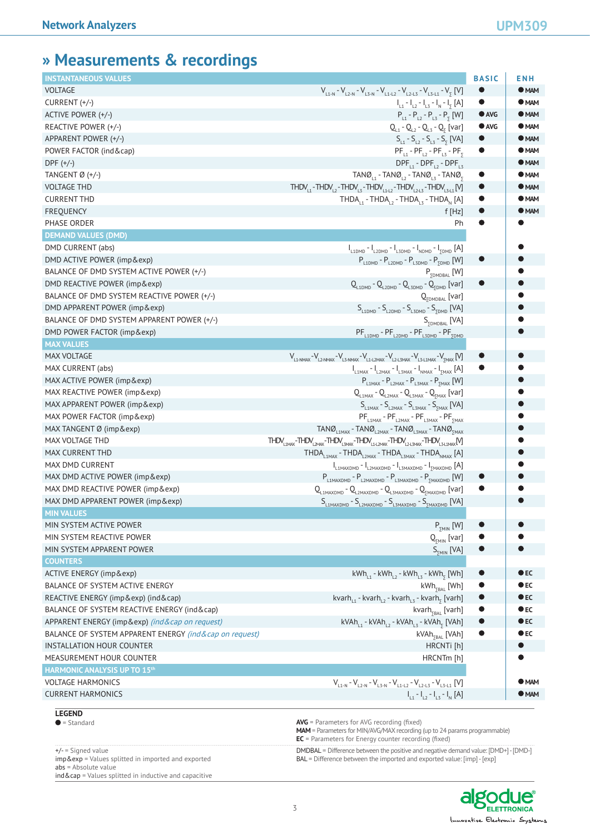## **» Measurements & recordings**

| <b>INSTANTANEOUS VALUES</b>                         |                                                                                                                                                                                                                    | <b>BASIC</b>  | <b>ENH</b>    |
|-----------------------------------------------------|--------------------------------------------------------------------------------------------------------------------------------------------------------------------------------------------------------------------|---------------|---------------|
| <b>VOLTAGE</b>                                      | $V_{L1-N}$ - $V_{L2-N}$ - $V_{L3-N}$ - $V_{L1-L2}$ - $V_{L2-L3}$ - $V_{L3-L1}$ - $V_{\overline{y}}$ [V]                                                                                                            | $\bullet$     | $\bullet$ MAM |
| CURRENT (+/-)                                       | $I_{11} - I_{12} - I_{13} - I_{N} - I_{5}$ [A]                                                                                                                                                                     | $\bullet$     | $\bullet$ MAM |
| ACTIVE POWER (+/-)                                  | $P_{L1} - P_{L2} - P_{L3} - P_{5}$ [W]                                                                                                                                                                             | $\bullet$ AVG | $\bullet$ MAM |
| REACTIVE POWER (+/-)                                | $Q_{L1} - Q_{L2} - Q_{L3} - Q_{5}$ [var]                                                                                                                                                                           | $\bullet$ AVG | $\bullet$ MAM |
| APPARENT POWER (+/-)                                | $S_{L1} - S_{L2} - S_{L3} - S_{5}$ [VA]                                                                                                                                                                            | $\bullet$     | $\bullet$ MAM |
| POWER FACTOR (ind & cap)                            | $PF_{11}$ - $PF_{12}$ - $PF_{13}$ - $PF_{5}$                                                                                                                                                                       | $\bullet$     | $\bullet$ MAM |
| $DPF (+/-)$                                         | $\text{DPF}_{11}$ - $\text{DPF}_{12}$ - $\text{DPF}_{13}$                                                                                                                                                          |               | $\bullet$ MAM |
| TANGENT Ø (+/-)                                     | $TANØ_{11}$ - $TANØ_{12}$ - $TANØ_{13}$ - $TANØ_{5}$                                                                                                                                                               | $\bullet$     | $\bullet$ MAM |
| <b>VOLTAGE THD</b>                                  | $\text{THDV}_{11} \text{-THDV}_{12} \text{-THDV}_{13} \text{-THDV}_{14+2} \text{-THDV}_{12+3} \text{-THDV}_{13+1} \text{[V]}$                                                                                      | $\bullet$     | $\bullet$ MAM |
| <b>CURRENT THD</b>                                  | THDA <sub>11</sub> - THDA <sub>12</sub> - THDA <sub>13</sub> - THDA <sub>N</sub> [A]                                                                                                                               | $\bullet$     | $\bullet$ MAM |
| <b>FREQUENCY</b>                                    | f [Hz]                                                                                                                                                                                                             | $\bullet$     | $\bullet$ MAM |
| PHASE ORDER                                         | Ph                                                                                                                                                                                                                 | 0             |               |
| <b>DEMAND VALUES (DMD)</b>                          |                                                                                                                                                                                                                    |               |               |
| DMD CURRENT (abs)                                   | $I_{L1DMD} - I_{L2DMD} - I_{L3DMD} - I_{NDMD} - I_{5DMD}$ [A]                                                                                                                                                      |               |               |
| DMD ACTIVE POWER (imp & exp)                        | $P_{L1DMD}$ - $P_{L2DMD}$ - $P_{L3DMD}$ - $P_{5DMD}$ [W]                                                                                                                                                           | $\bullet$     |               |
| BALANCE OF DMD SYSTEM ACTIVE POWER (+/-)            | $P_{\Sigma DMDBAL}$ [W]                                                                                                                                                                                            |               |               |
| DMD REACTIVE POWER (imp&exp)                        | $Q_{L1DMD} - Q_{L2DMD} - Q_{L3DMD} - Q_{5DMD}$ [var]                                                                                                                                                               |               |               |
| BALANCE OF DMD SYSTEM REACTIVE POWER (+/-)          | $Q_{\text{SDMDBAL}}$ [var]                                                                                                                                                                                         |               |               |
| DMD APPARENT POWER (imp&exp)                        | $S_{L1DMD}$ - $S_{L2DMD}$ - $S_{L3DMD}$ - $S_{5DMD}$ [VA]                                                                                                                                                          |               |               |
| BALANCE OF DMD SYSTEM APPARENT POWER (+/-)          | $S_{\text{SDMDBAL}}$ [VA]                                                                                                                                                                                          |               |               |
| DMD POWER FACTOR (imp&exp)                          | $PF$ <sub>L1DMD</sub> - $PF$ <sub>L2DMD</sub> - $PF$ <sub>L3DMD</sub> - $PF$ <sub>SDMD</sub>                                                                                                                       |               |               |
| <b>MAX VALUES</b>                                   |                                                                                                                                                                                                                    |               |               |
| <b>MAX VOLTAGE</b>                                  | $V_{L1\text{-NMAX}} - V_{L2\text{-NMAX}} - V_{L3\text{-NMAX}} - V_{L1\text{-L2MAX}} - V_{L2\text{-L3MAX}} - V_{L3\text{-L1MAX}} - V_{\text{JMAX}}$                                                                 |               |               |
| MAX CURRENT (abs)                                   | $I_{L1MAX}$ - $I_{L2MAX}$ - $I_{L3MAX}$ - $I_{NMAX}$ - $I_{5MAX}$ $[A]$                                                                                                                                            |               |               |
| MAX ACTIVE POWER (imp&exp)                          | $P_{L1MAX}$ - $P_{L2MAX}$ - $P_{L3MAX}$ - $P_{5MAX}$ [W]                                                                                                                                                           |               |               |
| MAX REACTIVE POWER (imp & exp)                      | $Q$ <sub>L1MAX</sub> - Q <sub>L2MAX</sub> - Q <sub>L3MAX</sub> - Q <sub>5MAX</sub> [var]                                                                                                                           |               |               |
| MAX APPARENT POWER (imp & exp)                      | $S_{L1MAX}$ - $S_{L2MAX}$ - $S_{L3MAX}$ - $S_{5MAX}$ [VA]                                                                                                                                                          |               |               |
| MAX POWER FACTOR (imp & exp)                        | $PF$ <sub>L1MAX</sub> - $PF$ <sub>L2MAX</sub> - $PF$ <sub>L3MAX</sub> - $PF$ <sub>2MAX</sub>                                                                                                                       |               |               |
| MAX TANGENT Ø (imp&exp)                             | $TANO_{L1MAX}$ - $TANO_{L2MAX}$ - $TANO_{L3MAX}$ - $TANO_{5MAX}$                                                                                                                                                   |               |               |
| MAX VOLTAGE THD                                     | $\text{THDV}_{\text{LIMAX}}\text{-}\text{THDV}_{\text{LIMAX}}\text{-}\text{THDV}_{\text{L3MAX}}\text{-}\text{THDV}_{\text{L1-L2MAX}}\text{-}\text{THDV}_{\text{L2-L3MAX}}\text{-}\text{THDV}_{\text{L3-L1MAX}}[N]$ |               |               |
| MAX CURRENT THD                                     | THDA <sub>L1MAX</sub> - THDA <sub>L2MAX</sub> - THDA <sub>L3MAX</sub> - THDA <sub>NMAX</sub> [A]                                                                                                                   |               | $\bullet$     |
| MAX DMD CURRENT                                     |                                                                                                                                                                                                                    |               |               |
| MAX DMD ACTIVE POWER (imp & exp)                    | $I_{L1MAXDMD} - I_{L2MAXDMD} - I_{L3MAXDMD} - I_{2MAXDMD}$ [A]<br>$P_{L1MAXDMD} - P_{L2MAXDMD} - P_{L3MAXDMD} - P_{5MAXDMD}$ [W]                                                                                   | $\bullet$     |               |
| MAX DMD REACTIVE POWER (imp&exp)                    | $Q_{\text{L1MAXDMD}} - Q_{\text{L2MAXDMD}} - Q_{\text{L3MAXDMD}} - Q_{\text{2MAXDMD}} \text{ [var]}$                                                                                                               | $\bullet$     |               |
| MAX DMD APPARENT POWER (imp&exp)                    |                                                                                                                                                                                                                    |               |               |
| <b>MIN VALUES</b>                                   | $S_{L1MAXDMD} - S_{L2MAXDMD} - S_{L3MAXDMD} - S_{MAXDMD}$ [VA]                                                                                                                                                     |               |               |
| MIN SYSTEM ACTIVE POWER                             | $P_{\text{NIN}}$ [W]                                                                                                                                                                                               |               |               |
| MIN SYSTEM REACTIVE POWER                           | $Q_{\text{SMIN}}$ [var]                                                                                                                                                                                            | $\bullet$     |               |
| MIN SYSTEM APPARENT POWER                           | $S_{\text{NIN}}$ [VA]                                                                                                                                                                                              | $\bullet$     | $\bullet$     |
| <b>COUNTERS</b>                                     |                                                                                                                                                                                                                    |               |               |
| ACTIVE ENERGY (imp & exp)                           | $kWh_{L1}$ - $kWh_{L2}$ - $kWh_{L3}$ - $kWh_{\bar{y}}$ [Wh]                                                                                                                                                        | $\bullet$     | $\bullet$ EC  |
| BALANCE OF SYSTEM ACTIVE ENERGY                     | $kWh_{\text{YBAL}}$ [Wh]                                                                                                                                                                                           | $\bullet$     | $\bullet$ EC  |
| REACTIVE ENERGY (imp&exp) (ind∩)                    | kvarh <sub>L1</sub> - kvarh <sub>L2</sub> - kvarh <sub>L3</sub> - kvarh <sub>5</sub> [varh]                                                                                                                        | $\bullet$     | $\bullet$ EC  |
| BALANCE OF SYSTEM REACTIVE ENERGY (ind & cap)       | kvarh <sub>yBAL</sub> [varh]                                                                                                                                                                                       | $\bullet$     | $\bullet$ EC  |
| APPARENT ENERGY (imp&exp) (ind∩ on request)         | $kVAh$ <sub>11</sub> - $kVAh$ <sub>12</sub> - $kVAh$ <sub>13</sub> - $kVAh$ <sub>5</sub> [VAh]                                                                                                                     | $\bullet$     | $\bullet$ EC  |
| BALANCE OF SYSTEM APPARENT ENERGY (ind∩ on request) | kVAh <sub>yBAL</sub> [VAh]                                                                                                                                                                                         | $\bullet$     | $\bullet$ EC  |
| INSTALLATION HOUR COUNTER                           | HRCNTi [h]                                                                                                                                                                                                         |               | $\bullet$     |
| MEASUREMENT HOUR COUNTER                            | HRCNTm [h]                                                                                                                                                                                                         |               |               |
| <b>HARMONIC ANALYSIS UP TO 15th</b>                 |                                                                                                                                                                                                                    |               |               |
| <b>VOLTAGE HARMONICS</b>                            | $V_{L1-N}$ - $V_{L2-N}$ - $V_{L3-N}$ - $V_{L1-L2}$ - $V_{L2-L3}$ - $V_{L3-L1}$ [V]                                                                                                                                 |               | $\bullet$ MAM |
| <b>CURRENT HARMONICS</b>                            | $I_{11} - I_{12} - I_{13} - I_{N}$ [A]                                                                                                                                                                             |               | $\bullet$ MAM |
|                                                     |                                                                                                                                                                                                                    |               |               |

**LEGEND**<br>• Standard

= Standard **AVG** = Parameters for AVG recording (fixed)

+/- = Signed value imp&exp = Values splitted in imported and exported abs = Absolute value

ind&cap = Values splitted in inductive and capacitive

DMDBAL = Difference between the positive and negative demand value: [DMD+] - [DMD-] BAL = Difference between the imported and exported value: [imp] - [exp]

**MAM** = Parameters for MIN/AVG/MAX recording (up to 24 params programmable)

**EC** = Parameters for Energy counter recording (fixed)

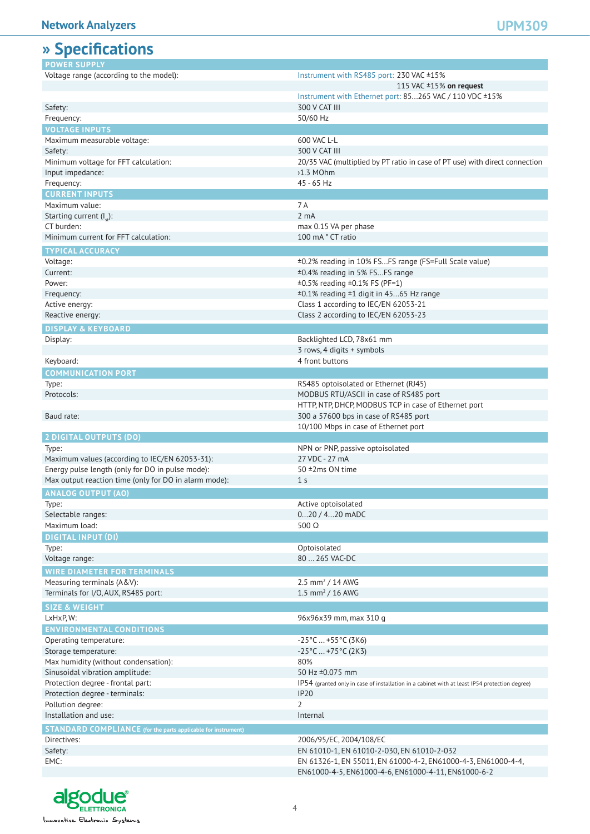### **» Specifications**

| <i>" op</i> eculeations                                              |                                                                                               |
|----------------------------------------------------------------------|-----------------------------------------------------------------------------------------------|
| <b>POWER SUPPLY</b>                                                  |                                                                                               |
| Voltage range (according to the model):                              | Instrument with RS485 port: 230 VAC ±15%                                                      |
|                                                                      | 115 VAC ±15% on request                                                                       |
|                                                                      | Instrument with Ethernet port: 85265 VAC / 110 VDC ±15%                                       |
| Safety:                                                              | 300 V CAT III                                                                                 |
| Frequency:                                                           | 50/60 Hz                                                                                      |
| <b>VOLTAGE INPUTS</b>                                                |                                                                                               |
| Maximum measurable voltage:                                          | 600 VAC L-L                                                                                   |
| Safety:                                                              | 300 V CAT III                                                                                 |
| Minimum voltage for FFT calculation:                                 | 20/35 VAC (multiplied by PT ratio in case of PT use) with direct connection                   |
|                                                                      | $51.3$ MOhm                                                                                   |
| Input impedance:                                                     |                                                                                               |
| Frequency:                                                           | $45 - 65$ Hz                                                                                  |
| <b>CURRENT INPUTS</b>                                                |                                                                                               |
| Maximum value:                                                       | 7 A                                                                                           |
| Starting current $(I_{st})$ :                                        | 2 <sub>m</sub> A                                                                              |
| CT burden:                                                           | max 0.15 VA per phase                                                                         |
| Minimum current for FFT calculation:                                 | 100 mA * CT ratio                                                                             |
| <b>TYPICAL ACCURACY</b>                                              |                                                                                               |
| Voltage:                                                             | ±0.2% reading in 10% FSFS range (FS=Full Scale value)                                         |
| Current:                                                             | ±0.4% reading in 5% FSFS range                                                                |
| Power:                                                               | ±0.5% reading ±0.1% FS (PF=1)                                                                 |
| Frequency:                                                           | ±0.1% reading ±1 digit in 4565 Hz range                                                       |
| Active energy:                                                       | Class 1 according to IEC/EN 62053-21                                                          |
| Reactive energy:                                                     | Class 2 according to IEC/EN 62053-23                                                          |
|                                                                      |                                                                                               |
| <b>DISPLAY &amp; KEYBOARD</b>                                        |                                                                                               |
| Display:                                                             | Backlighted LCD, 78x61 mm                                                                     |
|                                                                      | 3 rows, 4 digits + symbols                                                                    |
| Keyboard:                                                            | 4 front buttons                                                                               |
| <b>COMMUNICATION PORT</b>                                            |                                                                                               |
| Type:                                                                | RS485 optoisolated or Ethernet (RJ45)                                                         |
| Protocols:                                                           | MODBUS RTU/ASCII in case of RS485 port                                                        |
|                                                                      | HTTP, NTP, DHCP, MODBUS TCP in case of Ethernet port                                          |
| Baud rate:                                                           | 300 a 57600 bps in case of RS485 port                                                         |
|                                                                      | 10/100 Mbps in case of Ethernet port                                                          |
| <b>2 DIGITAL OUTPUTS (DO)</b>                                        |                                                                                               |
| Type:                                                                | NPN or PNP, passive optoisolated                                                              |
| Maximum values (according to IEC/EN 62053-31):                       | 27 VDC - 27 mA                                                                                |
| Energy pulse length (only for DO in pulse mode):                     | 50 ±2ms ON time                                                                               |
| Max output reaction time (only for DO in alarm mode):                | 1 <sub>s</sub>                                                                                |
|                                                                      |                                                                                               |
| <b>ANALOG OUTPUT (AO)</b>                                            |                                                                                               |
| Type:                                                                | Active optoisolated                                                                           |
| Selectable ranges:                                                   | 020 / 420 mADC                                                                                |
| Maximum load:                                                        | $500 \Omega$                                                                                  |
| <b>DIGITAL INPUT (DI)</b>                                            |                                                                                               |
| Type:                                                                | Optoisolated                                                                                  |
| Voltage range:                                                       | 80  265 VAC-DC                                                                                |
| <b>WIRE DIAMETER FOR TERMINALS</b>                                   |                                                                                               |
| Measuring terminals (A&V):                                           | 2.5 mm <sup>2</sup> / 14 AWG                                                                  |
| Terminals for I/O, AUX, RS485 port:                                  | 1.5 mm <sup>2</sup> / 16 AWG                                                                  |
|                                                                      |                                                                                               |
| <b>SIZE &amp; WEIGHT</b>                                             |                                                                                               |
| LxHxP, W:                                                            | 96x96x39 mm, max 310 g                                                                        |
| <b>ENVIRONMENTAL CONDITIONS</b>                                      |                                                                                               |
| Operating temperature:                                               | $-25^{\circ}$ C  +55 $^{\circ}$ C (3K6)                                                       |
| Storage temperature:                                                 | $-25^{\circ}$ C  +75°C (2K3)                                                                  |
| Max humidity (without condensation):                                 | 80%                                                                                           |
| Sinusoidal vibration amplitude:                                      | 50 Hz ±0.075 mm                                                                               |
| Protection degree - frontal part:                                    | IP54 (granted only in case of installation in a cabinet with at least IP54 protection degree) |
| Protection degree - terminals:                                       | <b>IP20</b>                                                                                   |
| Pollution degree:                                                    | $\overline{2}$                                                                                |
| Installation and use:                                                | Internal                                                                                      |
|                                                                      |                                                                                               |
| <b>STANDARD COMPLIANCE</b> (for the parts applicable for instrument) |                                                                                               |
| Directives:                                                          | 2006/95/EC, 2004/108/EC                                                                       |
| Safety:                                                              | EN 61010-1, EN 61010-2-030, EN 61010-2-032                                                    |
| EMC:                                                                 | EN 61326-1, EN 55011, EN 61000-4-2, EN61000-4-3, EN61000-4-4,                                 |
|                                                                      | EN61000-4-5, EN61000-4-6, EN61000-4-11, EN61000-6-2                                           |